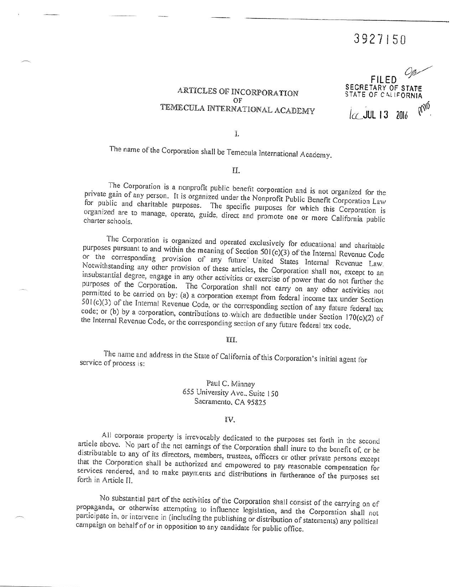# 3927150

ARTICLES OF INCORPORATION OF TEMECULA INTERNATIONAL ACADEMY

**FILED** SECRETARY OF STATE STATE OF CALIFORNIA anó *let* JUL 13 2016

Ī.

The name of the Corporation shall be Temecula International Academy.

II.

The Corporation is a nonprofit public benefit corporation and is not organized for the private gain of any person. It is organized under the Nonprofit Public Benefit Corporation Law for public and charitable purposes. The specific purposes for which this Corporation is organized are to manage, operate, guide, direct and promote one or more California public charter schools.

The Corporation is organized and operated exclusively for educational and charitable purposes pursuant to and within the meaning of Section 501(c)(3) of the Internal Revenue Code or the corresponding provision of any future United States Internal Revenue Law. Notwithstanding any other provision of these articles, the Corporation shall not, except to an insubstantial degree, engage in any other activities or exercise of power that do not further the purposes of the Corporation. The Corporation shall not carry on any other activities not permitted to be carried on by: (a) a corporation exempt from federal income tax under Section 501(c)(3) of the Internal Revenue Code, or the corresponding section of any future federal tax code; or (b) by a corporation, contributions to which are deductible under Section  $170(c)(2)$  of the Internal Revenue Code, or the corresponding section of any future federal tax code.

#### III.

The name and address in the State of California of this Corporation's initial agent for service of process is:

> Paul C. Minney 655 University Ave., Suite 150 Sacramento, CA 95825

#### IV.

All corporate property is irrevocably dedicated to the purposes set forth in the second article above. No part of the net earnings of the Corporation shall inure to the benefit of, or be distributable to any of its directors, members, trustees, officers or other private persons except that the Corporation shall be authorized and empowered to pay reasonable compensation for services rendered, and to make payments and distributions in furtherance of the purposes set forth in Article II.

No substantial part of the activities of the Corporation shall consist of the carrying on of propaganda, or otherwise attempting to influence legislation, and the Corporation shall not participate in, or intervene in (including the publishing or distribution of statements) any political campaign on behalf of or in opposition to any candidate for public office.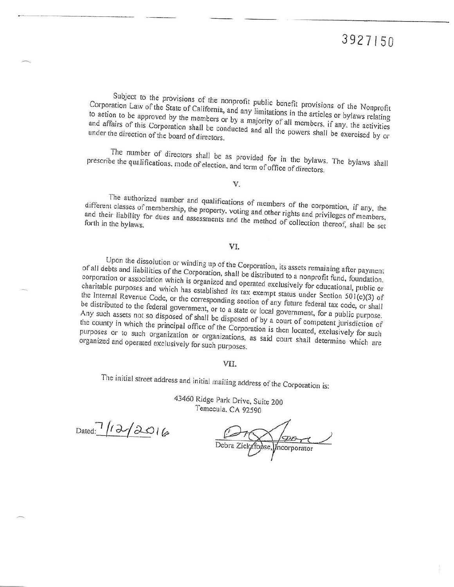Subject to the provisions of the nonprofit public benefit provisions of the Nonprofit Corporation Law of the State of California, and any limitations in the articles or bylaws relating to action to be approved by the members or by a majority of all members, if any, the activities and affairs of this Corporation shall be conducted and all the powers shall be exercised by or under the direction of the board of directors.

The number of directors shall be as provided for in the bylaws. The bylaws shall prescribe the qualifications, mode of election, and term of office of directors.

V.

The authorized number and qualifications of members of the corporation, if any, the different classes of membership, the property, voting and other rights and privileges of members, and their liability for dues and assessments and the method of collection thereof, shall be set

## VI.

Upon the dissolution or winding up of the Corporation, its assets remaining after payment of all debts and liabilities of the Corporation, shall be distributed to a nonprofit fund, foundation, corporation or association which is organized and operated exclusively for educational, public or charitable purposes and which has established its tax exempt status under Section 501(c)(3) of the Internal Revenue Code, or the corresponding section of any future federal tax code, or shall be distributed to the federal government, or to a state or local government, for a public purpose. Any such assets not so disposed of shall be disposed of by a court of competent jurisdiction of the county in which the principal office of the Corporation is then located, exclusively for such purposes or to such organization or organizations, as said court shall determine which are organized and operated exclusively for such purposes.

### VII.

The initial street address and initial mailing address of the Corporation is:

43460 Ridge Park Drive, Suite 200 Temecula, CA 92590

Dated:  $12/2016$ 

*Incorporator*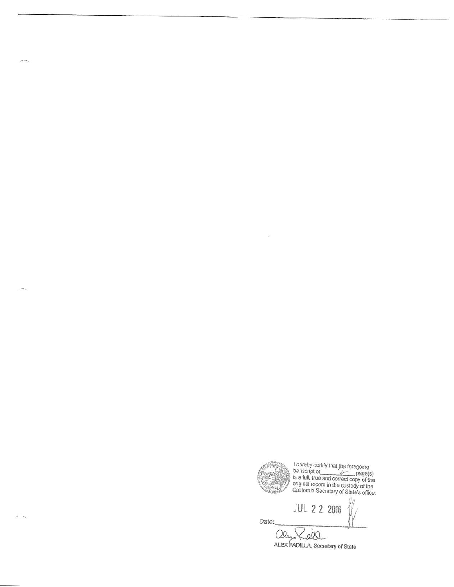**JUL 2 2 2016** Date: Zool ales ALEX PADILLA, Secretary of State

I hereby certify that the foregoing<br>transcript of<br>is a full, true and correct copy of the<br>original record in the custody of the<br>California Secretary of State's office.